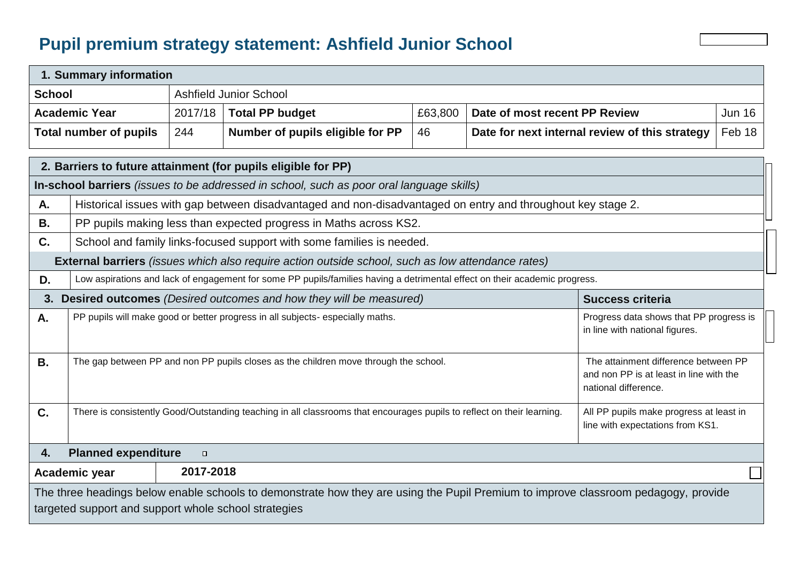## **Pupil premium strategy statement: Ashfield Junior School**

|                                            | 1. Summary information                                                                                                                                                                                |                                                                   |                                                                                                          |         |                               |                                                |               |
|--------------------------------------------|-------------------------------------------------------------------------------------------------------------------------------------------------------------------------------------------------------|-------------------------------------------------------------------|----------------------------------------------------------------------------------------------------------|---------|-------------------------------|------------------------------------------------|---------------|
| <b>School</b>                              |                                                                                                                                                                                                       |                                                                   | <b>Ashfield Junior School</b>                                                                            |         |                               |                                                |               |
|                                            | <b>Academic Year</b>                                                                                                                                                                                  | 2017/18                                                           | <b>Total PP budget</b>                                                                                   | £63,800 | Date of most recent PP Review |                                                | <b>Jun 16</b> |
|                                            | <b>Total number of pupils</b>                                                                                                                                                                         | 244                                                               | Number of pupils eligible for PP                                                                         | 46      |                               | Date for next internal review of this strategy | Feb 18        |
|                                            |                                                                                                                                                                                                       |                                                                   | 2. Barriers to future attainment (for pupils eligible for PP)                                            |         |                               |                                                |               |
|                                            |                                                                                                                                                                                                       |                                                                   | In-school barriers (issues to be addressed in school, such as poor oral language skills)                 |         |                               |                                                |               |
| Α.                                         | Historical issues with gap between disadvantaged and non-disadvantaged on entry and throughout key stage 2.                                                                                           |                                                                   |                                                                                                          |         |                               |                                                |               |
| <b>B.</b>                                  |                                                                                                                                                                                                       | PP pupils making less than expected progress in Maths across KS2. |                                                                                                          |         |                               |                                                |               |
| C.                                         |                                                                                                                                                                                                       |                                                                   | School and family links-focused support with some families is needed.                                    |         |                               |                                                |               |
|                                            |                                                                                                                                                                                                       |                                                                   | <b>External barriers</b> (issues which also require action outside school, such as low attendance rates) |         |                               |                                                |               |
| D.                                         | Low aspirations and lack of engagement for some PP pupils/families having a detrimental effect on their academic progress.                                                                            |                                                                   |                                                                                                          |         |                               |                                                |               |
| 3.                                         |                                                                                                                                                                                                       |                                                                   | Desired outcomes (Desired outcomes and how they will be measured)                                        |         |                               | <b>Success criteria</b>                        |               |
| A.                                         | PP pupils will make good or better progress in all subjects- especially maths.<br>Progress data shows that PP progress is<br>in line with national figures.                                           |                                                                   |                                                                                                          |         |                               |                                                |               |
| <b>B.</b>                                  | The attainment difference between PP<br>The gap between PP and non PP pupils closes as the children move through the school.<br>and non PP is at least in line with the<br>national difference.       |                                                                   |                                                                                                          |         |                               |                                                |               |
| C.                                         | There is consistently Good/Outstanding teaching in all classrooms that encourages pupils to reflect on their learning.<br>All PP pupils make progress at least in<br>line with expectations from KS1. |                                                                   |                                                                                                          |         |                               |                                                |               |
| <b>Planned expenditure</b><br>4.<br>$\Box$ |                                                                                                                                                                                                       |                                                                   |                                                                                                          |         |                               |                                                |               |
| 2017-2018<br>Academic year                 |                                                                                                                                                                                                       |                                                                   |                                                                                                          |         |                               |                                                |               |

.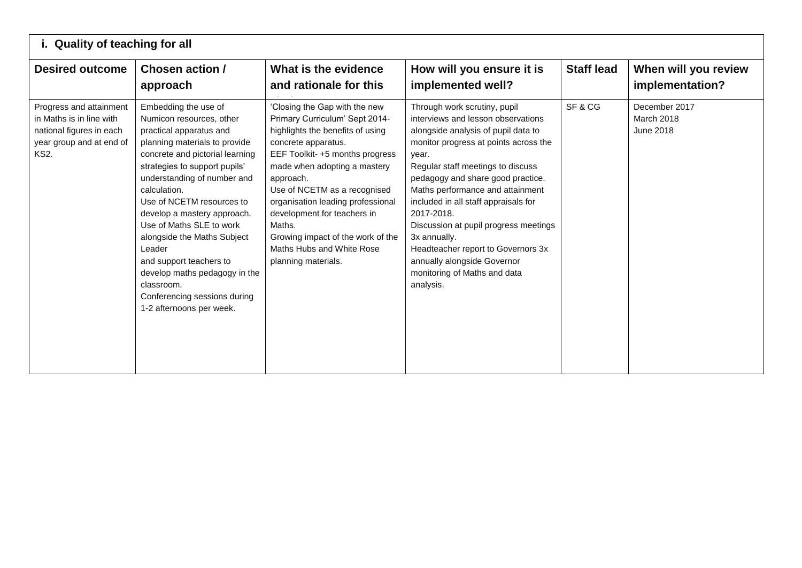| <b>Desired outcome</b>                                                                                                     | <b>Chosen action /</b><br>approach                                                                                                                                                                                                                                                                                                                                                                                                                                                                     | What is the evidence<br>and rationale for this                                                                                                                                                                                                                                                                                                                                                                   | How will you ensure it is<br>implemented well?                                                                                                                                                                                                                                                                                                                                                                                                                                                             | <b>Staff lead</b> | When will you review<br>implementation?  |
|----------------------------------------------------------------------------------------------------------------------------|--------------------------------------------------------------------------------------------------------------------------------------------------------------------------------------------------------------------------------------------------------------------------------------------------------------------------------------------------------------------------------------------------------------------------------------------------------------------------------------------------------|------------------------------------------------------------------------------------------------------------------------------------------------------------------------------------------------------------------------------------------------------------------------------------------------------------------------------------------------------------------------------------------------------------------|------------------------------------------------------------------------------------------------------------------------------------------------------------------------------------------------------------------------------------------------------------------------------------------------------------------------------------------------------------------------------------------------------------------------------------------------------------------------------------------------------------|-------------------|------------------------------------------|
| Progress and attainment<br>in Maths is in line with<br>national figures in each<br>year group and at end of<br><b>KS2.</b> | Embedding the use of<br>Numicon resources, other<br>practical apparatus and<br>planning materials to provide<br>concrete and pictorial learning<br>strategies to support pupils'<br>understanding of number and<br>calculation.<br>Use of NCETM resources to<br>develop a mastery approach.<br>Use of Maths SLE to work<br>alongside the Maths Subject<br>Leader<br>and support teachers to<br>develop maths pedagogy in the<br>classroom.<br>Conferencing sessions during<br>1-2 afternoons per week. | 'Closing the Gap with the new<br>Primary Curriculum' Sept 2014-<br>highlights the benefits of using<br>concrete apparatus.<br>EEF Toolkit-+5 months progress<br>made when adopting a mastery<br>approach.<br>Use of NCETM as a recognised<br>organisation leading professional<br>development for teachers in<br>Maths.<br>Growing impact of the work of the<br>Maths Hubs and White Rose<br>planning materials. | Through work scrutiny, pupil<br>interviews and lesson observations<br>alongside analysis of pupil data to<br>monitor progress at points across the<br>year.<br>Regular staff meetings to discuss<br>pedagogy and share good practice.<br>Maths performance and attainment<br>included in all staff appraisals for<br>2017-2018.<br>Discussion at pupil progress meetings<br>3x annually.<br>Headteacher report to Governors 3x<br>annually alongside Governor<br>monitoring of Maths and data<br>analysis. | SF&CG             | December 2017<br>March 2018<br>June 2018 |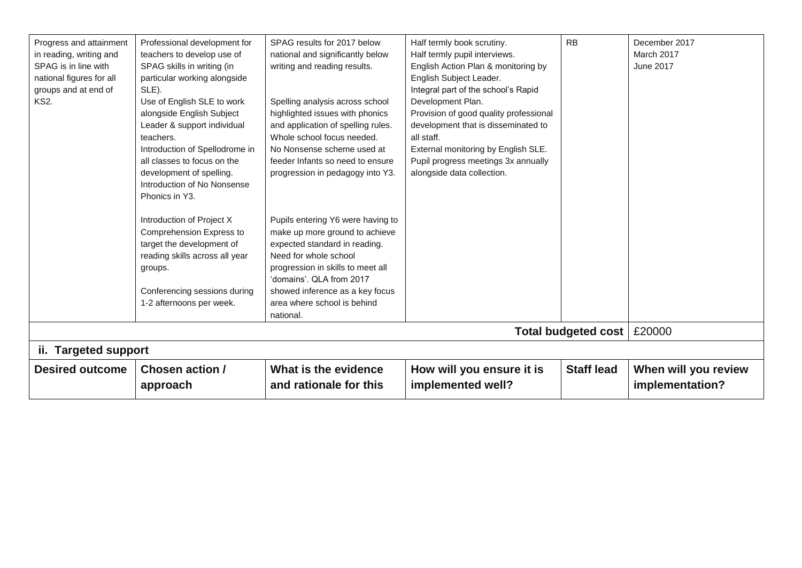| Progress and attainment<br>in reading, writing and<br>SPAG is in line with<br>national figures for all<br>groups and at end of<br>KS2. | Professional development for<br>teachers to develop use of<br>SPAG skills in writing (in<br>particular working alongside<br>SLE).<br>Use of English SLE to work<br>alongside English Subject<br>Leader & support individual<br>teachers.<br>Introduction of Spellodrome in<br>all classes to focus on the<br>development of spelling.<br>Introduction of No Nonsense<br>Phonics in Y3.<br>Introduction of Project X<br>Comprehension Express to<br>target the development of<br>reading skills across all year<br>groups.<br>Conferencing sessions during<br>1-2 afternoons per week. | SPAG results for 2017 below<br>national and significantly below<br>writing and reading results.<br>Spelling analysis across school<br>highlighted issues with phonics<br>and application of spelling rules.<br>Whole school focus needed.<br>No Nonsense scheme used at<br>feeder Infants so need to ensure<br>progression in pedagogy into Y3.<br>Pupils entering Y6 were having to<br>make up more ground to achieve<br>expected standard in reading.<br>Need for whole school<br>progression in skills to meet all<br>'domains'. QLA from 2017<br>showed inference as a key focus<br>area where school is behind | Half termly book scrutiny.<br>Half termly pupil interviews.<br>English Action Plan & monitoring by<br>English Subject Leader.<br>Integral part of the school's Rapid<br>Development Plan.<br>Provision of good quality professional<br>development that is disseminated to<br>all staff.<br>External monitoring by English SLE.<br>Pupil progress meetings 3x annually<br>alongside data collection. | <b>RB</b>           | December 2017<br>March 2017<br><b>June 2017</b> |
|----------------------------------------------------------------------------------------------------------------------------------------|---------------------------------------------------------------------------------------------------------------------------------------------------------------------------------------------------------------------------------------------------------------------------------------------------------------------------------------------------------------------------------------------------------------------------------------------------------------------------------------------------------------------------------------------------------------------------------------|---------------------------------------------------------------------------------------------------------------------------------------------------------------------------------------------------------------------------------------------------------------------------------------------------------------------------------------------------------------------------------------------------------------------------------------------------------------------------------------------------------------------------------------------------------------------------------------------------------------------|------------------------------------------------------------------------------------------------------------------------------------------------------------------------------------------------------------------------------------------------------------------------------------------------------------------------------------------------------------------------------------------------------|---------------------|-------------------------------------------------|
|                                                                                                                                        |                                                                                                                                                                                                                                                                                                                                                                                                                                                                                                                                                                                       | national.                                                                                                                                                                                                                                                                                                                                                                                                                                                                                                                                                                                                           |                                                                                                                                                                                                                                                                                                                                                                                                      |                     |                                                 |
|                                                                                                                                        |                                                                                                                                                                                                                                                                                                                                                                                                                                                                                                                                                                                       |                                                                                                                                                                                                                                                                                                                                                                                                                                                                                                                                                                                                                     |                                                                                                                                                                                                                                                                                                                                                                                                      | Total budgeted cost | £20000                                          |
| ii. Targeted support                                                                                                                   |                                                                                                                                                                                                                                                                                                                                                                                                                                                                                                                                                                                       |                                                                                                                                                                                                                                                                                                                                                                                                                                                                                                                                                                                                                     |                                                                                                                                                                                                                                                                                                                                                                                                      |                     |                                                 |
| <b>Desired outcome</b>                                                                                                                 | <b>Chosen action /</b><br>approach                                                                                                                                                                                                                                                                                                                                                                                                                                                                                                                                                    | What is the evidence<br>and rationale for this                                                                                                                                                                                                                                                                                                                                                                                                                                                                                                                                                                      | How will you ensure it is<br>implemented well?                                                                                                                                                                                                                                                                                                                                                       | <b>Staff lead</b>   | When will you review<br>implementation?         |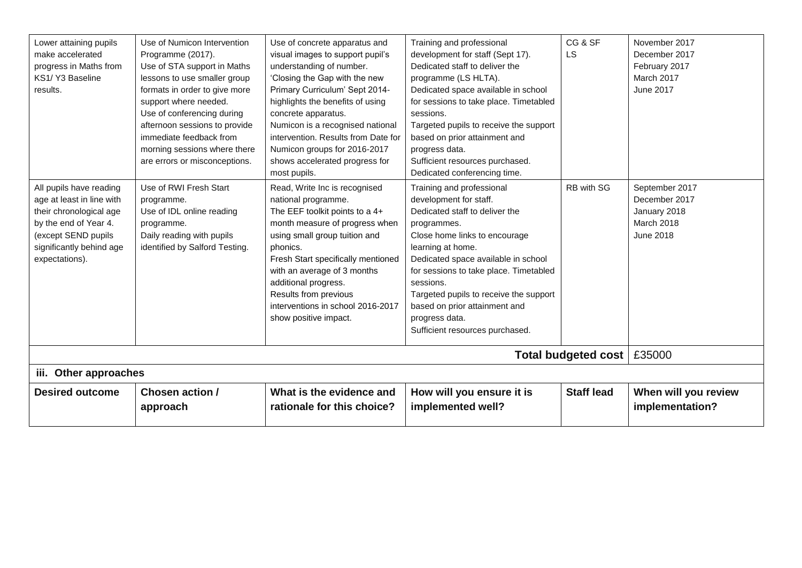| Lower attaining pupils<br>make accelerated<br>progress in Maths from<br>KS1/Y3 Baseline<br>results.                                                                           | Use of Numicon Intervention<br>Programme (2017).<br>Use of STA support in Maths<br>lessons to use smaller group<br>formats in order to give more<br>support where needed.<br>Use of conferencing during<br>afternoon sessions to provide<br>immediate feedback from<br>morning sessions where there<br>are errors or misconceptions. | Use of concrete apparatus and<br>visual images to support pupil's<br>understanding of number.<br>'Closing the Gap with the new<br>Primary Curriculum' Sept 2014-<br>highlights the benefits of using<br>concrete apparatus.<br>Numicon is a recognised national<br>intervention. Results from Date for<br>Numicon groups for 2016-2017<br>shows accelerated progress for<br>most pupils. | Training and professional<br>development for staff (Sept 17).<br>Dedicated staff to deliver the<br>programme (LS HLTA).<br>Dedicated space available in school<br>for sessions to take place. Timetabled<br>sessions.<br>Targeted pupils to receive the support<br>based on prior attainment and<br>progress data.<br>Sufficient resources purchased.<br>Dedicated conferencing time.    | CG & SF<br><b>LS</b> | November 2017<br>December 2017<br>February 2017<br>March 2017<br>June 2017 |
|-------------------------------------------------------------------------------------------------------------------------------------------------------------------------------|--------------------------------------------------------------------------------------------------------------------------------------------------------------------------------------------------------------------------------------------------------------------------------------------------------------------------------------|------------------------------------------------------------------------------------------------------------------------------------------------------------------------------------------------------------------------------------------------------------------------------------------------------------------------------------------------------------------------------------------|------------------------------------------------------------------------------------------------------------------------------------------------------------------------------------------------------------------------------------------------------------------------------------------------------------------------------------------------------------------------------------------|----------------------|----------------------------------------------------------------------------|
| All pupils have reading<br>age at least in line with<br>their chronological age<br>by the end of Year 4.<br>(except SEND pupils<br>significantly behind age<br>expectations). | Use of RWI Fresh Start<br>programme.<br>Use of IDL online reading<br>programme.<br>Daily reading with pupils<br>identified by Salford Testing.                                                                                                                                                                                       | Read, Write Inc is recognised<br>national programme.<br>The EEF toolkit points to a 4+<br>month measure of progress when<br>using small group tuition and<br>phonics.<br>Fresh Start specifically mentioned<br>with an average of 3 months<br>additional progress.<br>Results from previous<br>interventions in school 2016-2017<br>show positive impact.                                | Training and professional<br>development for staff.<br>Dedicated staff to deliver the<br>programmes.<br>Close home links to encourage<br>learning at home.<br>Dedicated space available in school<br>for sessions to take place. Timetabled<br>sessions.<br>Targeted pupils to receive the support<br>based on prior attainment and<br>progress data.<br>Sufficient resources purchased. | RB with SG           | September 2017<br>December 2017<br>January 2018<br>March 2018<br>June 2018 |
|                                                                                                                                                                               |                                                                                                                                                                                                                                                                                                                                      |                                                                                                                                                                                                                                                                                                                                                                                          |                                                                                                                                                                                                                                                                                                                                                                                          | Total budgeted cost  | £35000                                                                     |
| iii. Other approaches                                                                                                                                                         |                                                                                                                                                                                                                                                                                                                                      |                                                                                                                                                                                                                                                                                                                                                                                          |                                                                                                                                                                                                                                                                                                                                                                                          |                      |                                                                            |
| <b>Desired outcome</b>                                                                                                                                                        | <b>Chosen action /</b><br>approach                                                                                                                                                                                                                                                                                                   | What is the evidence and<br>rationale for this choice?                                                                                                                                                                                                                                                                                                                                   | How will you ensure it is<br>implemented well?                                                                                                                                                                                                                                                                                                                                           | <b>Staff lead</b>    | When will you review<br>implementation?                                    |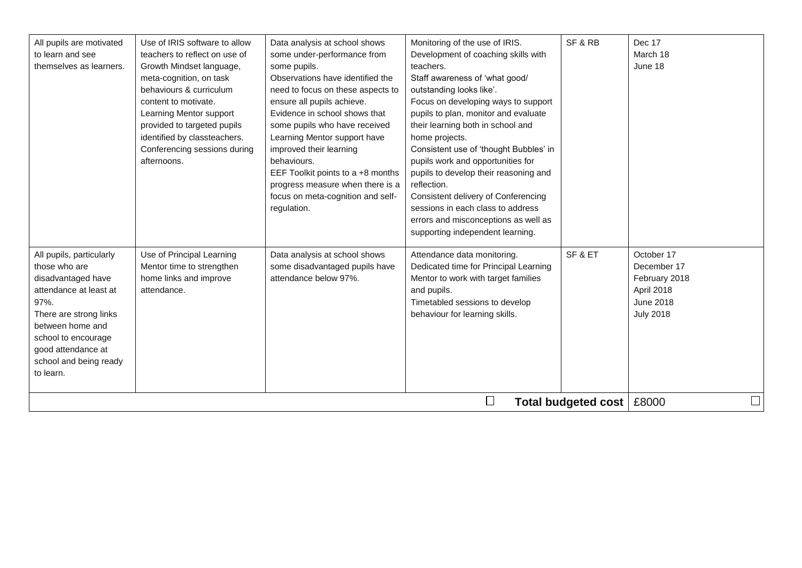| All pupils are motivated<br>to learn and see<br>themselves as learners.                                                                                                                                                             | Use of IRIS software to allow<br>teachers to reflect on use of<br>Growth Mindset language,<br>meta-cognition, on task<br>behaviours & curriculum<br>content to motivate.<br>Learning Mentor support<br>provided to targeted pupils<br>identified by classteachers.<br>Conferencing sessions during<br>afternoons. | Data analysis at school shows<br>some under-performance from<br>some pupils.<br>Observations have identified the<br>need to focus on these aspects to<br>ensure all pupils achieve.<br>Evidence in school shows that<br>some pupils who have received<br>Learning Mentor support have<br>improved their learning<br>behaviours.<br>EEF Toolkit points to a +8 months<br>progress measure when there is a<br>focus on meta-cognition and self-<br>regulation. | Monitoring of the use of IRIS.<br>Development of coaching skills with<br>teachers.<br>Staff awareness of 'what good/<br>outstanding looks like'.<br>Focus on developing ways to support<br>pupils to plan, monitor and evaluate<br>their learning both in school and<br>home projects.<br>Consistent use of 'thought Bubbles' in<br>pupils work and opportunities for<br>pupils to develop their reasoning and<br>reflection.<br>Consistent delivery of Conferencing<br>sessions in each class to address<br>errors and misconceptions as well as<br>supporting independent learning. | SF&RB               | Dec 17<br>March 18<br>June 18                                                             |
|-------------------------------------------------------------------------------------------------------------------------------------------------------------------------------------------------------------------------------------|-------------------------------------------------------------------------------------------------------------------------------------------------------------------------------------------------------------------------------------------------------------------------------------------------------------------|--------------------------------------------------------------------------------------------------------------------------------------------------------------------------------------------------------------------------------------------------------------------------------------------------------------------------------------------------------------------------------------------------------------------------------------------------------------|---------------------------------------------------------------------------------------------------------------------------------------------------------------------------------------------------------------------------------------------------------------------------------------------------------------------------------------------------------------------------------------------------------------------------------------------------------------------------------------------------------------------------------------------------------------------------------------|---------------------|-------------------------------------------------------------------------------------------|
| All pupils, particularly<br>those who are<br>disadvantaged have<br>attendance at least at<br>97%.<br>There are strong links<br>between home and<br>school to encourage<br>good attendance at<br>school and being ready<br>to learn. | Use of Principal Learning<br>Mentor time to strengthen<br>home links and improve<br>attendance.                                                                                                                                                                                                                   | Data analysis at school shows<br>some disadvantaged pupils have<br>attendance below 97%.                                                                                                                                                                                                                                                                                                                                                                     | Attendance data monitoring.<br>Dedicated time for Principal Learning<br>Mentor to work with target families<br>and pupils.<br>Timetabled sessions to develop<br>behaviour for learning skills.                                                                                                                                                                                                                                                                                                                                                                                        | SF&ET               | October 17<br>December 17<br>February 2018<br>April 2018<br>June 2018<br><b>July 2018</b> |
|                                                                                                                                                                                                                                     |                                                                                                                                                                                                                                                                                                                   |                                                                                                                                                                                                                                                                                                                                                                                                                                                              | $\Box$                                                                                                                                                                                                                                                                                                                                                                                                                                                                                                                                                                                | Total budgeted cost | $\Box$<br>£8000                                                                           |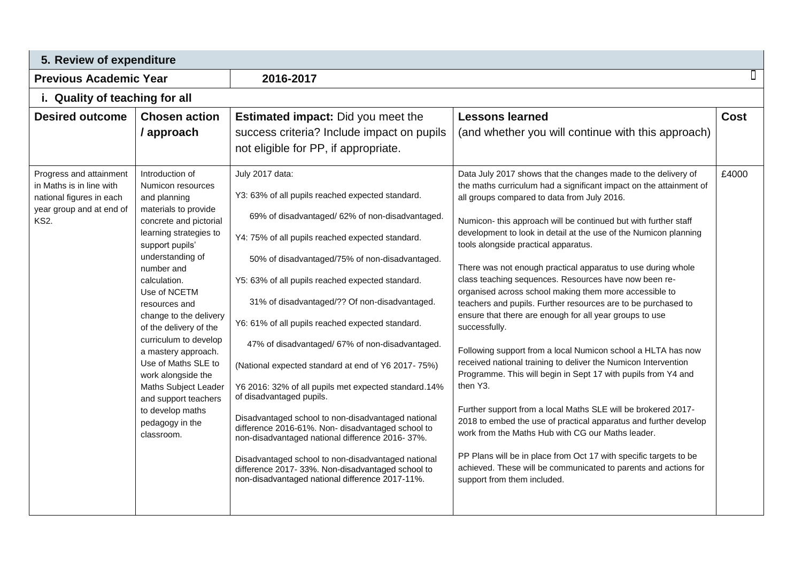| 5. Review of expenditure                                                                                                   |                                                                                                                                                                                                                                                                                                                                                                                                                                                                                              |                                                                                                                                                                                                                                                                                                                                                                                                                                                                                                                                                                                                                                                                                                                                                                                                                                                                                                                |                                                                                                                                                                                                                                                                                                                                                                                                                                                                                                                                                                                                                                                                                                                                                                                                                                                                                                                                                                                                                                                                                                                                                                                                                                                                                   |             |  |  |
|----------------------------------------------------------------------------------------------------------------------------|----------------------------------------------------------------------------------------------------------------------------------------------------------------------------------------------------------------------------------------------------------------------------------------------------------------------------------------------------------------------------------------------------------------------------------------------------------------------------------------------|----------------------------------------------------------------------------------------------------------------------------------------------------------------------------------------------------------------------------------------------------------------------------------------------------------------------------------------------------------------------------------------------------------------------------------------------------------------------------------------------------------------------------------------------------------------------------------------------------------------------------------------------------------------------------------------------------------------------------------------------------------------------------------------------------------------------------------------------------------------------------------------------------------------|-----------------------------------------------------------------------------------------------------------------------------------------------------------------------------------------------------------------------------------------------------------------------------------------------------------------------------------------------------------------------------------------------------------------------------------------------------------------------------------------------------------------------------------------------------------------------------------------------------------------------------------------------------------------------------------------------------------------------------------------------------------------------------------------------------------------------------------------------------------------------------------------------------------------------------------------------------------------------------------------------------------------------------------------------------------------------------------------------------------------------------------------------------------------------------------------------------------------------------------------------------------------------------------|-------------|--|--|
| <b>Previous Academic Year</b>                                                                                              |                                                                                                                                                                                                                                                                                                                                                                                                                                                                                              | 2016-2017                                                                                                                                                                                                                                                                                                                                                                                                                                                                                                                                                                                                                                                                                                                                                                                                                                                                                                      |                                                                                                                                                                                                                                                                                                                                                                                                                                                                                                                                                                                                                                                                                                                                                                                                                                                                                                                                                                                                                                                                                                                                                                                                                                                                                   | П           |  |  |
| i. Quality of teaching for all                                                                                             |                                                                                                                                                                                                                                                                                                                                                                                                                                                                                              |                                                                                                                                                                                                                                                                                                                                                                                                                                                                                                                                                                                                                                                                                                                                                                                                                                                                                                                |                                                                                                                                                                                                                                                                                                                                                                                                                                                                                                                                                                                                                                                                                                                                                                                                                                                                                                                                                                                                                                                                                                                                                                                                                                                                                   |             |  |  |
| <b>Desired outcome</b>                                                                                                     | <b>Chosen action</b><br>/ approach                                                                                                                                                                                                                                                                                                                                                                                                                                                           | <b>Estimated impact:</b> Did you meet the<br>success criteria? Include impact on pupils<br>not eligible for PP, if appropriate.                                                                                                                                                                                                                                                                                                                                                                                                                                                                                                                                                                                                                                                                                                                                                                                | <b>Lessons learned</b><br>(and whether you will continue with this approach)                                                                                                                                                                                                                                                                                                                                                                                                                                                                                                                                                                                                                                                                                                                                                                                                                                                                                                                                                                                                                                                                                                                                                                                                      | <b>Cost</b> |  |  |
| Progress and attainment<br>in Maths is in line with<br>national figures in each<br>year group and at end of<br><b>KS2.</b> | Introduction of<br>Numicon resources<br>and planning<br>materials to provide<br>concrete and pictorial<br>learning strategies to<br>support pupils'<br>understanding of<br>number and<br>calculation.<br>Use of NCETM<br>resources and<br>change to the delivery<br>of the delivery of the<br>curriculum to develop<br>a mastery approach.<br>Use of Maths SLE to<br>work alongside the<br>Maths Subject Leader<br>and support teachers<br>to develop maths<br>pedagogy in the<br>classroom. | July 2017 data:<br>Y3: 63% of all pupils reached expected standard.<br>69% of disadvantaged/ 62% of non-disadvantaged.<br>Y4: 75% of all pupils reached expected standard.<br>50% of disadvantaged/75% of non-disadvantaged.<br>Y5: 63% of all pupils reached expected standard.<br>31% of disadvantaged/?? Of non-disadvantaged.<br>Y6: 61% of all pupils reached expected standard.<br>47% of disadvantaged/ 67% of non-disadvantaged.<br>(National expected standard at end of Y6 2017-75%)<br>Y6 2016: 32% of all pupils met expected standard.14%<br>of disadvantaged pupils.<br>Disadvantaged school to non-disadvantaged national<br>difference 2016-61%. Non- disadvantaged school to<br>non-disadvantaged national difference 2016-37%.<br>Disadvantaged school to non-disadvantaged national<br>difference 2017- 33%. Non-disadvantaged school to<br>non-disadvantaged national difference 2017-11%. | Data July 2017 shows that the changes made to the delivery of<br>the maths curriculum had a significant impact on the attainment of<br>all groups compared to data from July 2016.<br>Numicon- this approach will be continued but with further staff<br>development to look in detail at the use of the Numicon planning<br>tools alongside practical apparatus.<br>There was not enough practical apparatus to use during whole<br>class teaching sequences. Resources have now been re-<br>organised across school making them more accessible to<br>teachers and pupils. Further resources are to be purchased to<br>ensure that there are enough for all year groups to use<br>successfully.<br>Following support from a local Numicon school a HLTA has now<br>received national training to deliver the Numicon Intervention<br>Programme. This will begin in Sept 17 with pupils from Y4 and<br>then Y3.<br>Further support from a local Maths SLE will be brokered 2017-<br>2018 to embed the use of practical apparatus and further develop<br>work from the Maths Hub with CG our Maths leader.<br>PP Plans will be in place from Oct 17 with specific targets to be<br>achieved. These will be communicated to parents and actions for<br>support from them included. | £4000       |  |  |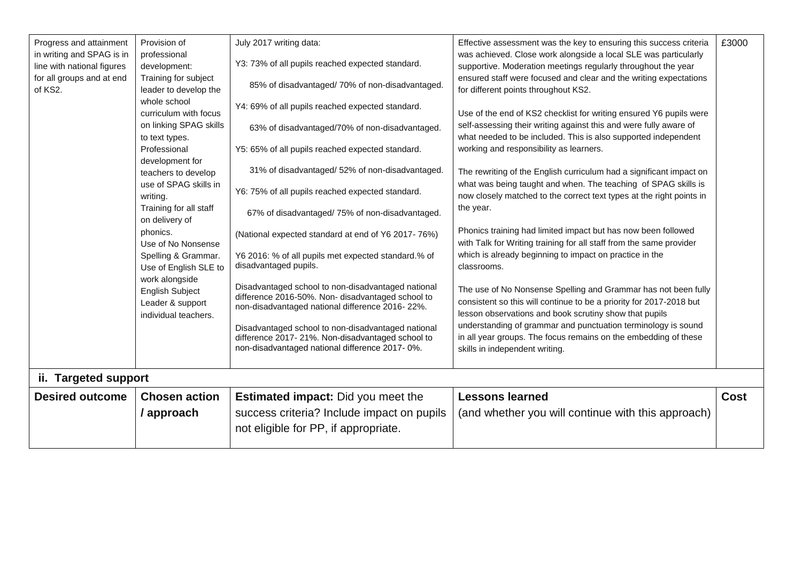| Progress and attainment<br>in writing and SPAG is in<br>line with national figures<br>for all groups and at end<br>of KS2. | Provision of<br>professional<br>development:<br>Training for subject<br>leader to develop the<br>whole school<br>curriculum with focus<br>on linking SPAG skills<br>to text types.<br>Professional<br>development for<br>teachers to develop<br>use of SPAG skills in<br>writing.<br>Training for all staff<br>on delivery of<br>phonics.<br>Use of No Nonsense<br>Spelling & Grammar.<br>Use of English SLE to<br>work alongside<br><b>English Subject</b><br>Leader & support<br>individual teachers. | July 2017 writing data:<br>Y3: 73% of all pupils reached expected standard.<br>85% of disadvantaged/70% of non-disadvantaged.<br>Y4: 69% of all pupils reached expected standard.<br>63% of disadvantaged/70% of non-disadvantaged.<br>Y5: 65% of all pupils reached expected standard.<br>31% of disadvantaged/ 52% of non-disadvantaged.<br>Y6: 75% of all pupils reached expected standard.<br>67% of disadvantaged/75% of non-disadvantaged.<br>(National expected standard at end of Y6 2017-76%)<br>Y6 2016: % of all pupils met expected standard.% of<br>disadvantaged pupils.<br>Disadvantaged school to non-disadvantaged national<br>difference 2016-50%. Non- disadvantaged school to<br>non-disadvantaged national difference 2016-22%.<br>Disadvantaged school to non-disadvantaged national<br>difference 2017-21%. Non-disadvantaged school to<br>non-disadvantaged national difference 2017-0%. | Effective assessment was the key to ensuring this success criteria<br>was achieved. Close work alongside a local SLE was particularly<br>supportive. Moderation meetings regularly throughout the year<br>ensured staff were focused and clear and the writing expectations<br>for different points throughout KS2.<br>Use of the end of KS2 checklist for writing ensured Y6 pupils were<br>self-assessing their writing against this and were fully aware of<br>what needed to be included. This is also supported independent<br>working and responsibility as learners.<br>The rewriting of the English curriculum had a significant impact on<br>what was being taught and when. The teaching of SPAG skills is<br>now closely matched to the correct text types at the right points in<br>the year.<br>Phonics training had limited impact but has now been followed<br>with Talk for Writing training for all staff from the same provider<br>which is already beginning to impact on practice in the<br>classrooms.<br>The use of No Nonsense Spelling and Grammar has not been fully<br>consistent so this will continue to be a priority for 2017-2018 but<br>lesson observations and book scrutiny show that pupils<br>understanding of grammar and punctuation terminology is sound<br>in all year groups. The focus remains on the embedding of these<br>skills in independent writing. | £3000       |
|----------------------------------------------------------------------------------------------------------------------------|---------------------------------------------------------------------------------------------------------------------------------------------------------------------------------------------------------------------------------------------------------------------------------------------------------------------------------------------------------------------------------------------------------------------------------------------------------------------------------------------------------|------------------------------------------------------------------------------------------------------------------------------------------------------------------------------------------------------------------------------------------------------------------------------------------------------------------------------------------------------------------------------------------------------------------------------------------------------------------------------------------------------------------------------------------------------------------------------------------------------------------------------------------------------------------------------------------------------------------------------------------------------------------------------------------------------------------------------------------------------------------------------------------------------------------|------------------------------------------------------------------------------------------------------------------------------------------------------------------------------------------------------------------------------------------------------------------------------------------------------------------------------------------------------------------------------------------------------------------------------------------------------------------------------------------------------------------------------------------------------------------------------------------------------------------------------------------------------------------------------------------------------------------------------------------------------------------------------------------------------------------------------------------------------------------------------------------------------------------------------------------------------------------------------------------------------------------------------------------------------------------------------------------------------------------------------------------------------------------------------------------------------------------------------------------------------------------------------------------------------------------------------------------------------------------------------------------------------|-------------|
| ii. Targeted support                                                                                                       |                                                                                                                                                                                                                                                                                                                                                                                                                                                                                                         |                                                                                                                                                                                                                                                                                                                                                                                                                                                                                                                                                                                                                                                                                                                                                                                                                                                                                                                  |                                                                                                                                                                                                                                                                                                                                                                                                                                                                                                                                                                                                                                                                                                                                                                                                                                                                                                                                                                                                                                                                                                                                                                                                                                                                                                                                                                                                      |             |
| <b>Desired outcome</b>                                                                                                     | <b>Chosen action</b>                                                                                                                                                                                                                                                                                                                                                                                                                                                                                    | <b>Estimated impact:</b> Did you meet the                                                                                                                                                                                                                                                                                                                                                                                                                                                                                                                                                                                                                                                                                                                                                                                                                                                                        | <b>Lessons learned</b>                                                                                                                                                                                                                                                                                                                                                                                                                                                                                                                                                                                                                                                                                                                                                                                                                                                                                                                                                                                                                                                                                                                                                                                                                                                                                                                                                                               | <b>Cost</b> |
|                                                                                                                            | / approach                                                                                                                                                                                                                                                                                                                                                                                                                                                                                              | success criteria? Include impact on pupils                                                                                                                                                                                                                                                                                                                                                                                                                                                                                                                                                                                                                                                                                                                                                                                                                                                                       | (and whether you will continue with this approach)                                                                                                                                                                                                                                                                                                                                                                                                                                                                                                                                                                                                                                                                                                                                                                                                                                                                                                                                                                                                                                                                                                                                                                                                                                                                                                                                                   |             |
|                                                                                                                            |                                                                                                                                                                                                                                                                                                                                                                                                                                                                                                         | not eligible for PP, if appropriate.                                                                                                                                                                                                                                                                                                                                                                                                                                                                                                                                                                                                                                                                                                                                                                                                                                                                             |                                                                                                                                                                                                                                                                                                                                                                                                                                                                                                                                                                                                                                                                                                                                                                                                                                                                                                                                                                                                                                                                                                                                                                                                                                                                                                                                                                                                      |             |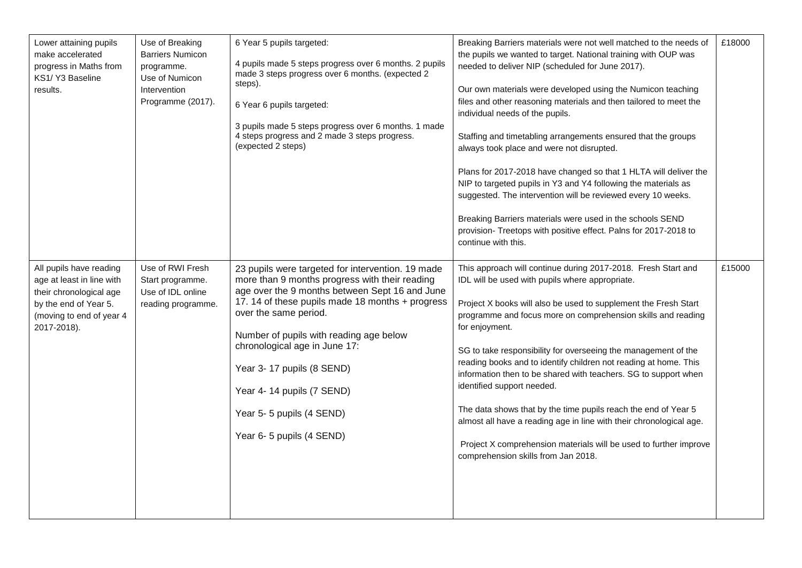| Lower attaining pupils<br>make accelerated<br>progress in Maths from<br>KS1/Y3 Baseline<br>results.                                                 | Use of Breaking<br><b>Barriers Numicon</b><br>programme.<br>Use of Numicon<br>Intervention<br>Programme (2017). | 6 Year 5 pupils targeted:<br>4 pupils made 5 steps progress over 6 months. 2 pupils<br>made 3 steps progress over 6 months. (expected 2<br>steps).<br>6 Year 6 pupils targeted:<br>3 pupils made 5 steps progress over 6 months. 1 made<br>4 steps progress and 2 made 3 steps progress.<br>(expected 2 steps)                                                                                                                   | Breaking Barriers materials were not well matched to the needs of<br>the pupils we wanted to target. National training with OUP was<br>needed to deliver NIP (scheduled for June 2017).<br>Our own materials were developed using the Numicon teaching<br>files and other reasoning materials and then tailored to meet the<br>individual needs of the pupils.<br>Staffing and timetabling arrangements ensured that the groups<br>always took place and were not disrupted.<br>Plans for 2017-2018 have changed so that 1 HLTA will deliver the<br>NIP to targeted pupils in Y3 and Y4 following the materials as<br>suggested. The intervention will be reviewed every 10 weeks.<br>Breaking Barriers materials were used in the schools SEND<br>provision- Treetops with positive effect. Palns for 2017-2018 to<br>continue with this. | £18000 |
|-----------------------------------------------------------------------------------------------------------------------------------------------------|-----------------------------------------------------------------------------------------------------------------|----------------------------------------------------------------------------------------------------------------------------------------------------------------------------------------------------------------------------------------------------------------------------------------------------------------------------------------------------------------------------------------------------------------------------------|--------------------------------------------------------------------------------------------------------------------------------------------------------------------------------------------------------------------------------------------------------------------------------------------------------------------------------------------------------------------------------------------------------------------------------------------------------------------------------------------------------------------------------------------------------------------------------------------------------------------------------------------------------------------------------------------------------------------------------------------------------------------------------------------------------------------------------------------|--------|
| All pupils have reading<br>age at least in line with<br>their chronological age<br>by the end of Year 5.<br>(moving to end of year 4<br>2017-2018). | Use of RWI Fresh<br>Start programme.<br>Use of IDL online<br>reading programme.                                 | 23 pupils were targeted for intervention. 19 made<br>more than 9 months progress with their reading<br>age over the 9 months between Sept 16 and June<br>17. 14 of these pupils made 18 months + progress<br>over the same period.<br>Number of pupils with reading age below<br>chronological age in June 17:<br>Year 3-17 pupils (8 SEND)<br>Year 4-14 pupils (7 SEND)<br>Year 5-5 pupils (4 SEND)<br>Year 6-5 pupils (4 SEND) | This approach will continue during 2017-2018. Fresh Start and<br>IDL will be used with pupils where appropriate.<br>Project X books will also be used to supplement the Fresh Start<br>programme and focus more on comprehension skills and reading<br>for enjoyment.<br>SG to take responsibility for overseeing the management of the<br>reading books and to identify children not reading at home. This<br>information then to be shared with teachers. SG to support when<br>identified support needed.<br>The data shows that by the time pupils reach the end of Year 5<br>almost all have a reading age in line with their chronological age.<br>Project X comprehension materials will be used to further improve<br>comprehension skills from Jan 2018.                                                                          | £15000 |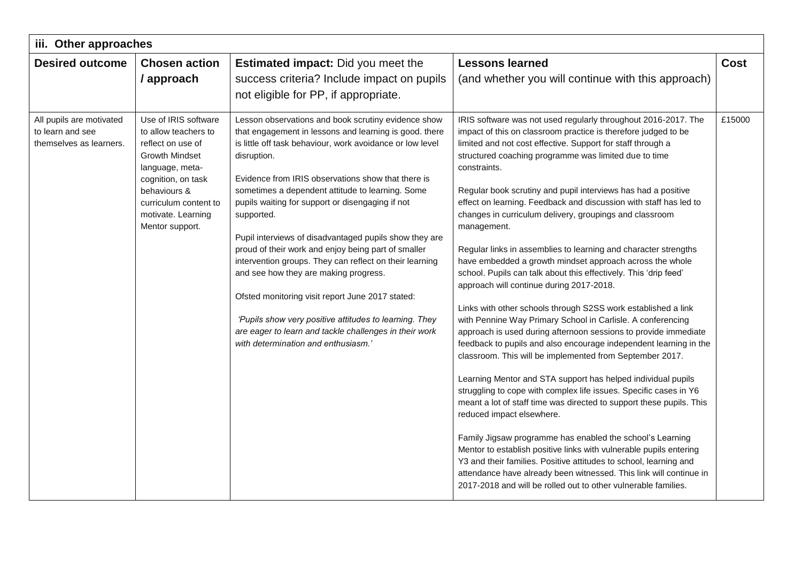| iii. Other approaches                                                                                                                                                                                                                                                                                                                                                                                                                                                                                                                                                                                                                                                                                                                                                                                                                                                                                                                                                                                                                                                                                         |                                                                                                                                                                                                                                                                                                                                                                                                                                                                                                                                                                                                                                                                                                                                                                                                                                                                                                                                                                                                                                                                                                                                                                                                                                                                                                                                                                                                                                                                                                                                                                                                                                                                       |             |  |  |  |  |  |
|---------------------------------------------------------------------------------------------------------------------------------------------------------------------------------------------------------------------------------------------------------------------------------------------------------------------------------------------------------------------------------------------------------------------------------------------------------------------------------------------------------------------------------------------------------------------------------------------------------------------------------------------------------------------------------------------------------------------------------------------------------------------------------------------------------------------------------------------------------------------------------------------------------------------------------------------------------------------------------------------------------------------------------------------------------------------------------------------------------------|-----------------------------------------------------------------------------------------------------------------------------------------------------------------------------------------------------------------------------------------------------------------------------------------------------------------------------------------------------------------------------------------------------------------------------------------------------------------------------------------------------------------------------------------------------------------------------------------------------------------------------------------------------------------------------------------------------------------------------------------------------------------------------------------------------------------------------------------------------------------------------------------------------------------------------------------------------------------------------------------------------------------------------------------------------------------------------------------------------------------------------------------------------------------------------------------------------------------------------------------------------------------------------------------------------------------------------------------------------------------------------------------------------------------------------------------------------------------------------------------------------------------------------------------------------------------------------------------------------------------------------------------------------------------------|-------------|--|--|--|--|--|
| <b>Desired outcome</b><br><b>Chosen action</b><br><b>Estimated impact:</b> Did you meet the                                                                                                                                                                                                                                                                                                                                                                                                                                                                                                                                                                                                                                                                                                                                                                                                                                                                                                                                                                                                                   | <b>Lessons learned</b>                                                                                                                                                                                                                                                                                                                                                                                                                                                                                                                                                                                                                                                                                                                                                                                                                                                                                                                                                                                                                                                                                                                                                                                                                                                                                                                                                                                                                                                                                                                                                                                                                                                | <b>Cost</b> |  |  |  |  |  |
| / approach<br>success criteria? Include impact on pupils                                                                                                                                                                                                                                                                                                                                                                                                                                                                                                                                                                                                                                                                                                                                                                                                                                                                                                                                                                                                                                                      | (and whether you will continue with this approach)                                                                                                                                                                                                                                                                                                                                                                                                                                                                                                                                                                                                                                                                                                                                                                                                                                                                                                                                                                                                                                                                                                                                                                                                                                                                                                                                                                                                                                                                                                                                                                                                                    |             |  |  |  |  |  |
| not eligible for PP, if appropriate.                                                                                                                                                                                                                                                                                                                                                                                                                                                                                                                                                                                                                                                                                                                                                                                                                                                                                                                                                                                                                                                                          |                                                                                                                                                                                                                                                                                                                                                                                                                                                                                                                                                                                                                                                                                                                                                                                                                                                                                                                                                                                                                                                                                                                                                                                                                                                                                                                                                                                                                                                                                                                                                                                                                                                                       |             |  |  |  |  |  |
| Use of IRIS software<br>All pupils are motivated<br>Lesson observations and book scrutiny evidence show<br>to learn and see<br>that engagement in lessons and learning is good. there<br>to allow teachers to<br>is little off task behaviour, work avoidance or low level<br>themselves as learners.<br>reflect on use of<br><b>Growth Mindset</b><br>disruption.<br>language, meta-<br>Evidence from IRIS observations show that there is<br>cognition, on task<br>sometimes a dependent attitude to learning. Some<br>behaviours &<br>pupils waiting for support or disengaging if not<br>curriculum content to<br>supported.<br>motivate. Learning<br>Mentor support.<br>Pupil interviews of disadvantaged pupils show they are<br>proud of their work and enjoy being part of smaller<br>intervention groups. They can reflect on their learning<br>and see how they are making progress.<br>Ofsted monitoring visit report June 2017 stated:<br>'Pupils show very positive attitudes to learning. They<br>are eager to learn and tackle challenges in their work<br>with determination and enthusiasm.' | IRIS software was not used regularly throughout 2016-2017. The<br>impact of this on classroom practice is therefore judged to be<br>limited and not cost effective. Support for staff through a<br>structured coaching programme was limited due to time<br>constraints.<br>Regular book scrutiny and pupil interviews has had a positive<br>effect on learning. Feedback and discussion with staff has led to<br>changes in curriculum delivery, groupings and classroom<br>management.<br>Regular links in assemblies to learning and character strengths<br>have embedded a growth mindset approach across the whole<br>school. Pupils can talk about this effectively. This 'drip feed'<br>approach will continue during 2017-2018.<br>Links with other schools through S2SS work established a link<br>with Pennine Way Primary School in Carlisle. A conferencing<br>approach is used during afternoon sessions to provide immediate<br>feedback to pupils and also encourage independent learning in the<br>classroom. This will be implemented from September 2017.<br>Learning Mentor and STA support has helped individual pupils<br>struggling to cope with complex life issues. Specific cases in Y6<br>meant a lot of staff time was directed to support these pupils. This<br>reduced impact elsewhere.<br>Family Jigsaw programme has enabled the school's Learning<br>Mentor to establish positive links with vulnerable pupils entering<br>Y3 and their families. Positive attitudes to school, learning and<br>attendance have already been witnessed. This link will continue in<br>2017-2018 and will be rolled out to other vulnerable families. | £15000      |  |  |  |  |  |